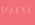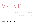# MAEVE

MAEVE, ORIGINALLY NAMED MARY. THE TYPEFACE TAKES INSPIRATION FROM THE LIFE AND LOVES OF MY GRANDMOTHER "MARY" BUT AS THERE WERE TWO MARY'S IN THE TOWN SHE WAS ALSO KNOWN AS MAEVE. IN HER YOUTH SHE HAD AN EYE FOR FASHION AND IF YOU DIDN'T KNOW BETTER COULD HAVE THOUGH SHE WAS IN THE INDUSTRY.

THIS TYPEFACE HAS DIODE ELEMENTS BUT ALSO ITS OWN UNIQUE IDENTITY AND QUIRKY. TO BE FASHIONABLE BUT NOT FOLLOWING THE CROWED. STRONG BUT ALSO ELEGANT.

RELEASE DATE: APRIL 2014 | STYLES: 1 | FORMATES: TTF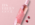# ITS BERRY GOOD

MAEVE TYPE SPECIAL SOLO IN THE SPECIAL SERVICE SPECIAL SERVICES OF SPECIAL SERVICES.

BONEZ DES IGNZ WWW.BONEZ DES IGNZ WWW.BONEZONEZ DES IGNZ WERDEN EIGNZ WERDEN DER EIGNZ.COM DER EIGNZ.COM DER E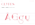**TYPE SPECIMEN** 

### GLYPHS

### TYPEFACE: 397 | SCRIPTS: LATIN, GREEK & CYRILLIC

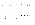ÁÂÃAAAE A B C C, Ć Č D Ď Đ E Ė Ê  $\mathbb A$  $\ddot{\Gamma}$  $\prod_{i=1}^{n}$  $\mathbf{I}$  $\hat{\mathbf{I}}$  $\ddot{\parallel}$  $\dot{\mathbb{F}}$  $\mathbb{F}$ Ñ  $G$   $H$  $\overline{U}$ 旧  $\blacksquare$  $\blacksquare$  $K$  $\mathbb{L}$  $\pm$  $\mathbf{M}$  $\mathbb N$  $\bigcap$ ŒPQRSŠTTUÙÚŨ  $\tilde{O}$   $\tilde{O}$  $\hat{O}$  $\dot{U}$  $\bigcap$  $\varnothing$  $\bigcup$  $\bigcap$  $\dot{Y}$   $\ddot{Y}$   $Z$   $\dot{Z}$   $\ddot{Z}$   $D$  $\bf V$  $X$   $Y$ B W

 $\acute{a}$   $\acute{a}$   $\acute{a}$   $\acute{a}$   $\acute{a}$   $\acute{a}$   $\acute{a}$   $\acute{a}$   $\acute{b}$   $\acute{c}$   $\acute{c}$   $\acute{c}$   $\acute{c}$   $\acute{c}$   $\acute{c}$   $\acute{c}$   $\acute{c}$   $\acute{c}$   $\acute{c}$   $\acute{c}$   $\acute{e}$   $\acute{e}$   $\acute{e}$   $\acute{e}$  $\hat{C}$  $\beta$  hhiin in iijk I t  $\check{e}$  f  $\ddot{\mathbf{e}}$  $\dot{\mathbf{e}}$  $\mathbf{u}$  u  $\widetilde{\Omega}$  $\bigcirc$ øæp qr s š t t u ù ú û ü  $\hat{O}$   $\tilde{O}$   $\tilde{O}$  $\dot{O}$  $\bullet$  $\mathbf{U}$  $\mathbf{b}$  $\mathbf{x} \times \mathbf{y} \times \hat{\mathbf{y}} \times \mathbf{z}$  z  $\hat{\mathbf{z}}$  $\Box$  $\mathbf{W}$  $\mathbf{V}$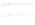А Б В Г Д Е Ж З И Й К Л М Н О П Р С Т У  $\Phi$  X II U III II b b b b  $\Theta$  H  $\Xi$  i  $\overline{E}$  i  $\overline{E}$  i  $\overline{E}$  i  $\overline{E}$  i  $\overline{E}$  i  $\overline{E}$  i  $\overline{E}$  i  $\overline{E}$ Љ Ћ Ќ Ў Џ

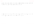### Α Β Γ Δ Ε Ζ Η Θ Ι Κ Λ Μ Ν Ξ Ο Π Ρ Σ Τ Υ Φ Χ Ψ Ω Ϊ Ϋ Ά Έ Ή Ί Ό Ύ Ώ

### $\alpha$  β γ δ ε ζ η θ ι κ λ μ ν ξ ο π ρ ς σ τ υ φ χ ψ ω ϊ ϋ ό ύ ώ ά έ ή ί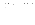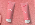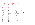# LANGTIAGE SUPPORT

AFRIKAANS ALBANIAN ASU BASQUE BELARUSIAN BEMBA BENA BOSNIAN BULGARIAN CATALAN CEBUANO CHIGA **CORNISH** CORSICAN **CROATIAN** DANISH ENGLISH ERZYA **FSTONIAN** FAROESE FILIPINO **FINNISH** FRENCH FRIULIAN

GALICIAN GERMAN GUSII ICELANDIC IDO INDONESIAN INTERLINGUA IRISH ITALIAN **JAVANESE** JJU KABUVERDIANU KALENJIN KINYARWANDA LOJBAN LOW GERMAN LUO LUXEMBOURGISH LUYIA MACEDONIAN **MACHAME** MAKHUWA-MEETTO MAKONDE **MALAGASY** 

MALAY MANX MORISYEN NORTH NDEBELE NORTHERN SOTHO NORWEGIAN BOKMÅL NORWEGIAN NYNORSK **NYANKOLE OCCITAN** OROMO **PORTUGUESE** ROMANSH ROMBO RUNDI RUSSIAN RWA SAMBURU SANGO **SANGU SARDINIAN** SCOTTISH GAELIC **SENA SERBIAN** SHAMBALA

**SHONA SLOVENIAN** SOGA SOMALI SOUTH NDEBELE SOUTHERN SOTHO **SPANISH** SWAHILI SWATI SWEDISH SWISS GERMAN TAITA TAROKO TESO TSONGA TSWANA VUNJO WALLOON XHOSA ZULU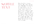## SAMPL F TEXT

Mary has had an uncanny knack of "life", coping through many difficulties and embracing her opportunities. One of her many loves has been her garden. From a young age she has had a talent to "make things grow", no matter what the plant or what the state of the acquired cutting they just grow for her. It is as though she nourishes life itself. And in nourishing life through her lifetime she has done so with grace and style. 24PT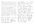Mary has had an uncanny knack of "life", coping through many difficulties and embracing her opportunities. One of her many loves has been her garden. From a young age she has had a talent to "make things grow", no matter what the plant or what the state of the acquired cutting they just grow for her. It is as though she nourishes life itself. And in nourishing life through her lifetime she has done so with grace and style. 12PT

Mary has had an uncanny knack of "life", coping through many difficulties and embracing her opportunities. One of her many loves has been her garden. From a young age she has had a talent to "make things grow", no matter what the plant or what the state of the acquired cutting they just grow for her. It is as though she nourishes life itself. And in nourishing life through her lifetime she has done so with grace and style. 18PT

Mary has had an uncanny knack of "life", coping through many difficulties and embracing her

opportunities. One of her many loves has been her garden. From a young age she has had a talent to "make things grow", no matter what the plant or what the state of the acquired cutting they just grow for her. It is as though she nourishes life itself. And in nourishing life through her lifetime she has done so with grace and style. 30PT